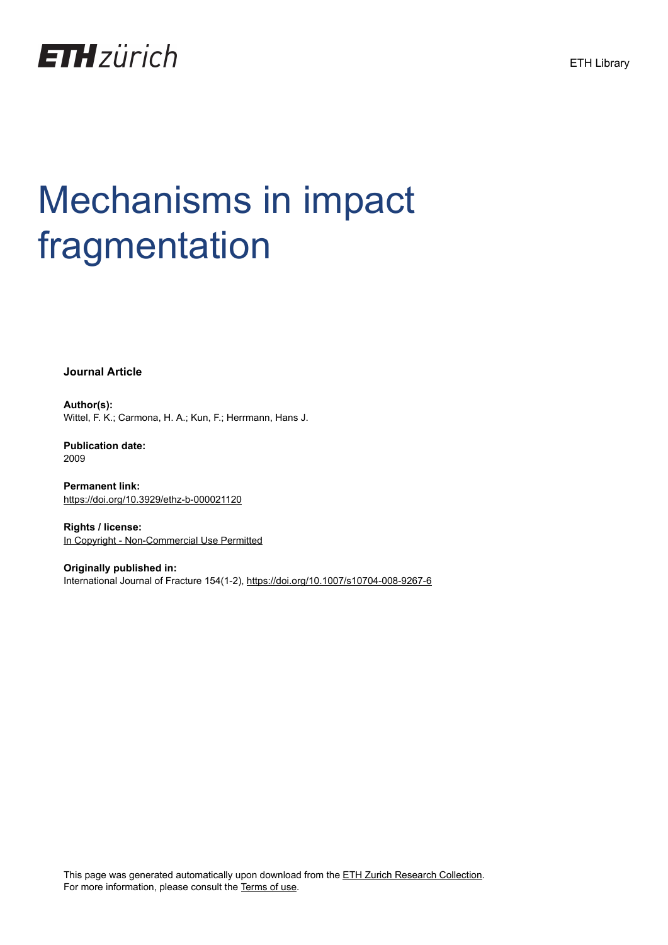



# Mechanisms in impact fragmentation

**Journal Article**

**Author(s):** Wittel, F. K.; Carmona, H. A.; Kun, F.; Herrmann, Hans J.

**Publication date:** 2009

**Permanent link:** <https://doi.org/10.3929/ethz-b-000021120>

**Rights / license:** [In Copyright - Non-Commercial Use Permitted](http://rightsstatements.org/page/InC-NC/1.0/)

**Originally published in:** International Journal of Fracture 154(1-2),<https://doi.org/10.1007/s10704-008-9267-6>

This page was generated automatically upon download from the [ETH Zurich Research Collection.](https://www.research-collection.ethz.ch) For more information, please consult the [Terms of use](https://www.research-collection.ethz.ch/terms-of-use).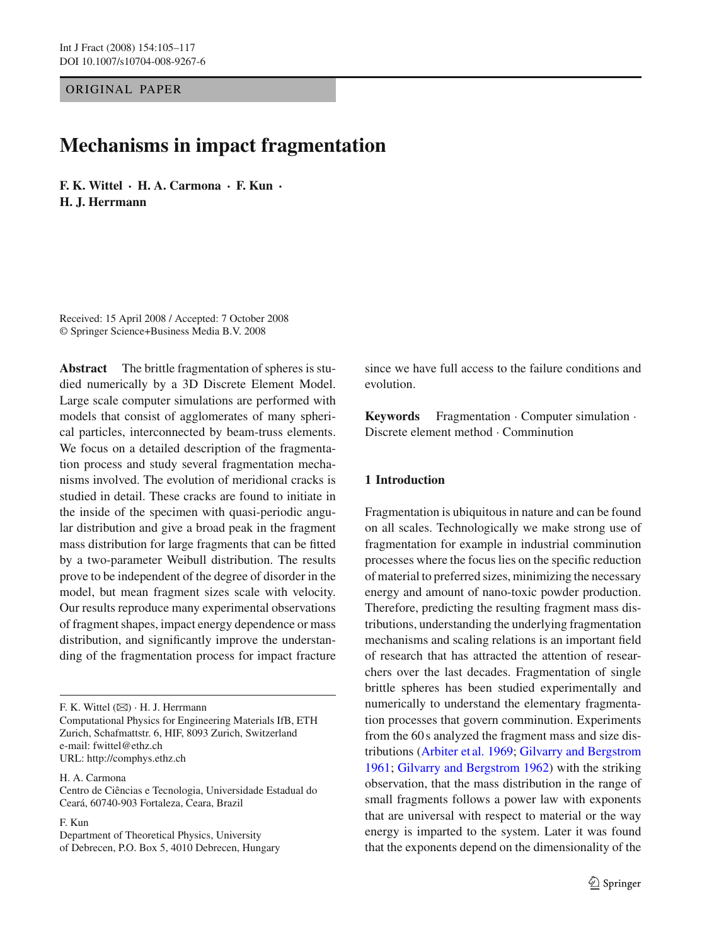ORIGINAL PAPER

# **Mechanisms in impact fragmentation**

**F. K. Wittel · H. A. Carmona · F. Kun · H. J. Herrmann**

Received: 15 April 2008 / Accepted: 7 October 2008 © Springer Science+Business Media B.V. 2008

**Abstract** The brittle fragmentation of spheres is studied numerically by a 3D Discrete Element Model. Large scale computer simulations are performed with models that consist of agglomerates of many spherical particles, interconnected by beam-truss elements. We focus on a detailed description of the fragmentation process and study several fragmentation mechanisms involved. The evolution of meridional cracks is studied in detail. These cracks are found to initiate in the inside of the specimen with quasi-periodic angular distribution and give a broad peak in the fragment mass distribution for large fragments that can be fitted by a two-parameter Weibull distribution. The results prove to be independent of the degree of disorder in the model, but mean fragment sizes scale with velocity. Our results reproduce many experimental observations of fragment shapes, impact energy dependence or mass distribution, and significantly improve the understanding of the fragmentation process for impact fracture

F. K. Wittel (B) · H. J. Herrmann Computational Physics for Engineering Materials IfB, ETH Zurich, Schafmattstr. 6, HIF, 8093 Zurich, Switzerland e-mail: fwittel@ethz.ch URL: http://comphys.ethz.ch

H. A. Carmona

Centro de Ciências e Tecnologia, Universidade Estadual do Ceará, 60740-903 Fortaleza, Ceara, Brazil

F. Kun

Department of Theoretical Physics, University of Debrecen, P.O. Box 5, 4010 Debrecen, Hungary since we have full access to the failure conditions and evolution.

**Keywords** Fragmentation · Computer simulation · Discrete element method · Comminution

# **1 Introduction**

Fragmentation is ubiquitous in nature and can be found on all scales. Technologically we make strong use of fragmentation for example in industrial comminution processes where the focus lies on the specific reduction of material to preferred sizes, minimizing the necessary energy and amount of nano-toxic powder production. Therefore, predicting the resulting fragment mass distributions, understanding the underlying fragmentation mechanisms and scaling relations is an important field of research that has attracted the attention of researchers over the last decades. Fragmentation of single brittle spheres has been studied experimentally and numerically to understand the elementary fragmentation processes that govern comminution. Experiments from the 60 s analyzed the fragment mass and size distributions [\(Arbiter et al. 1969](#page-11-0); [Gilvarry and Bergstrom](#page-12-0) [1961;](#page-12-0) [Gilvarry and Bergstrom 1962](#page-12-1)) with the striking observation, that the mass distribution in the range of small fragments follows a power law with exponents that are universal with respect to material or the way energy is imparted to the system. Later it was found that the exponents depend on the dimensionality of the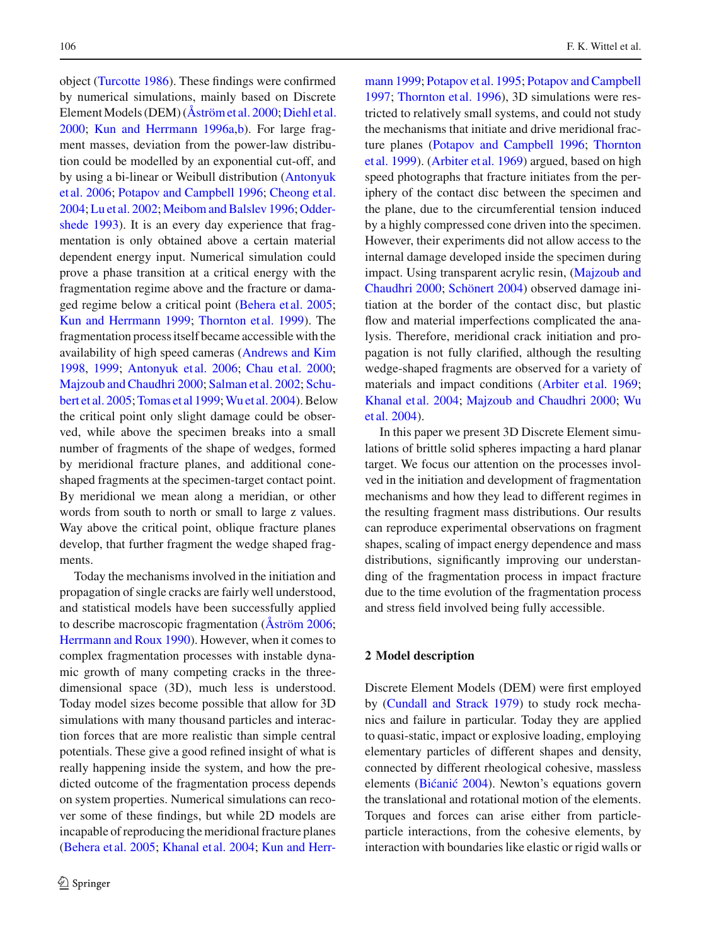object [\(Turcotte 1986\)](#page-12-2). These findings were confirmed by numerical simulations, mainly based on Discrete Element Models (DEM) (Aström et al. 2000; [Diehl et al.](#page-12-4) [2000](#page-12-4); [Kun and Herrmann 1996a](#page-12-5)[,b](#page-12-6)). For large fragment masses, deviation from the power-law distribution could be modelled by an exponential cut-off, and by u[sing](#page-11-1) [a](#page-11-1) [bi-linear](#page-11-1) [or](#page-11-1) [Weibull](#page-11-1) [distribution](#page-11-1) [\(](#page-11-1)Antonyuk et al. [2006](#page-11-1); [Potapov and Campbell 1996](#page-12-7); [Cheong et al.](#page-12-8) [2004](#page-12-8); [Lu et al. 2002;](#page-12-9) [Meibom and Balslev 1996;](#page-12-10) Oddershede [1993\)](#page-12-11). It is an every day experience that fragmentation is only obtained above a certain material dependent energy input. Numerical simulation could prove a phase transition at a critical energy with the fragmentation regime above and the fracture or damaged regime below a critical point [\(Behera et al. 2005](#page-12-12); [Kun and Herrmann 1999;](#page-12-13) [Thornton et al. 1999](#page-12-14)). The fragmentation process itself became accessible with the availability of high speed cameras [\(Andrews and Kim](#page-11-2) [1998](#page-11-2), [1999;](#page-11-3) [Antonyuk et al. 2006](#page-11-1); [Chau et al. 2000](#page-12-15); [Majzoub and Chaudhri 2000](#page-12-16)[;](#page-12-18) [Salman et al. 2002](#page-12-17); Schubert et al. [2005;](#page-12-18)[Tomas et al 1999;](#page-12-19)[Wu et a](#page-13-0)[l.](#page-12-13)[2004\). Below](#page-12-13) the critical point only slight damage could be observed, while above the specimen breaks into a small number of fragments of the shape of wedges, formed by meridional fracture planes, and additional coneshaped fragments at the specimen-target contact point. By meridional we mean along a meridian, or other words from south to north or small to large z values. Way above the critical point, oblique fracture planes develop, that further fragment the wedge shaped fragments.

Today the mechanisms involved in the initiation and propagation of single cracks are fairly well understood, and statistical models have been successfully applied to describe macroscopic fragmentation [\(Åström 2006](#page-12-20); [Herrmann and Roux 1990](#page-12-21)). However, when it comes to complex fragmentation processes with instable dynamic growth of many competing cracks in the threedimensional space (3D), much less is understood. Today model sizes become possible that allow for 3D simulations with many thousand particles and interaction forces that are more realistic than simple central potentials. These give a good refined insight of what is really happening inside the system, and how the predicted outcome of the fragmentation process depends on system properties. Numerical simulations can recover some of these findings, but while 2D models are incapable of reproducing the meridional fracture planes [\(Behera et al. 2005](#page-12-12); [Khanal et al. 2004;](#page-12-22) Kun and Herrmann [1999](#page-12-13); [Potapov et al. 1995;](#page-12-23) [Potapov and Campbell](#page-12-24) [1997;](#page-12-24) [Thornton et al. 1996\)](#page-12-25), 3D simulations were restricted to relatively small systems, and could not study the mechanisms that initiate and drive meridional fracture [planes](#page-12-14) [\(Potapov and Campbell 1996](#page-12-7)[;](#page-12-14) Thornton et al. [1999\)](#page-12-14). [\(Arbiter et al. 1969\)](#page-11-0) argued, based on high speed photographs that fracture initiates from the periphery of the contact disc between the specimen and the plane, due to the circumferential tension induced by a highly compressed cone driven into the specimen. However, their experiments did not allow access to the internal damage developed inside the specimen during impact. [Using](#page-12-16) [transparent](#page-12-16) [acrylic](#page-12-16) [resin,](#page-12-16) [\(](#page-12-16)Majzoub and Chaudhri [2000](#page-12-16); [Schönert 2004\)](#page-12-26) observed damage initiation at the border of the contact disc, but plastic flow and material imperfections complicated the analysis. Therefore, meridional crack initiation and propagation is not fully clarified, although the resulting wedge-shaped fragments are observed for a variety of materials and impact conditions [\(Arbiter et al. 1969](#page-11-0); [Khanal et al. 2004;](#page-12-22) [Majzoub and Chaudhri 2000](#page-12-16)[;](#page-13-0) Wu et al. [2004](#page-13-0)).

In this paper we present 3D Discrete Element simulations of brittle solid spheres impacting a hard planar target. We focus our attention on the processes involved in the initiation and development of fragmentation mechanisms and how they lead to different regimes in the resulting fragment mass distributions. Our results can reproduce experimental observations on fragment shapes, scaling of impact energy dependence and mass distributions, significantly improving our understanding of the fragmentation process in impact fracture due to the time evolution of the fragmentation process and stress field involved being fully accessible.

### **2 Model description**

Discrete Element Models (DEM) were first employed by [\(Cundall and Strack 1979\)](#page-12-27) to study rock mechanics and failure in particular. Today they are applied to quasi-static, impact or explosive loading, employing elementary particles of different shapes and density, connected by different rheological cohesive, massless elements (Bićanić 2004). Newton's equations govern the translational and rotational motion of the elements. Torques and forces can arise either from particleparticle interactions, from the cohesive elements, by interaction with boundaries like elastic or rigid walls or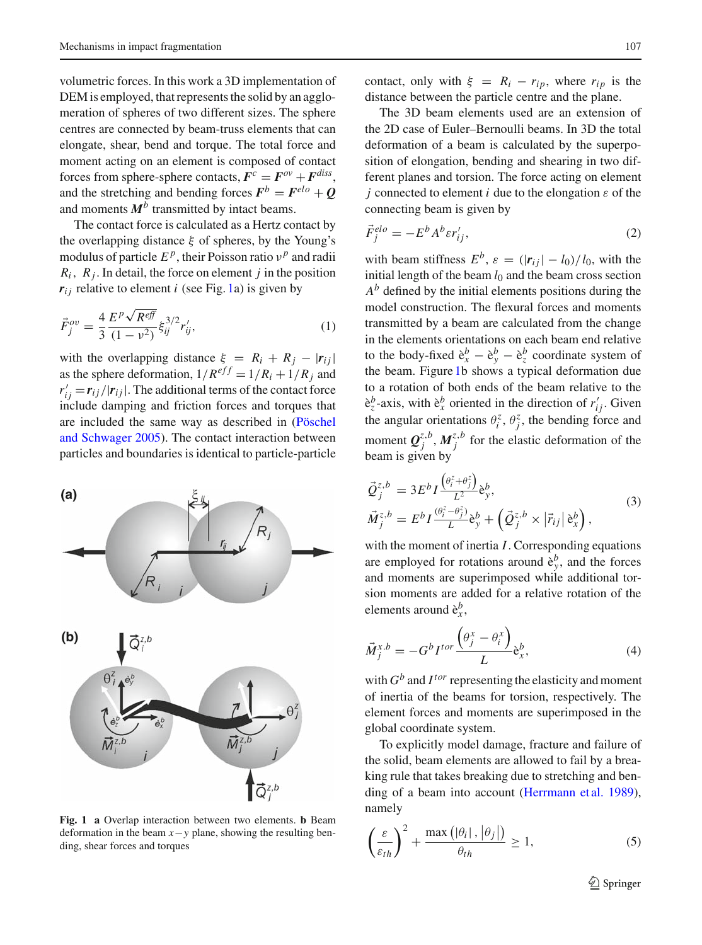volumetric forces. In this work a 3D implementation of DEM is employed, that represents the solid by an agglomeration of spheres of two different sizes. The sphere centres are connected by beam-truss elements that can elongate, shear, bend and torque. The total force and moment acting on an element is composed of contact forces from sphere-sphere contacts,  $\mathbf{F}^c = \mathbf{F}^{ov} + \mathbf{F}^{diss}$ , and the stretching and bending forces  $\mathbf{F}^b = \mathbf{F}^{elo} + \mathbf{Q}$ and moments  $M^b$  transmitted by intact beams.

The contact force is calculated as a Hertz contact by the overlapping distance  $\xi$  of spheres, by the Young's modulus of particle  $E^p$ , their Poisson ratio  $v^p$  and radii  $R_i$ ,  $R_j$ . In detail, the force on element *j* in the position  $r_{ij}$  relative to element *i* (see Fig. [1a](#page-3-0)) is given by

$$
\vec{F}_{j}^{ov} = \frac{4}{3} \frac{E^{p} \sqrt{R^{eff}}}{(1 - v^{2})} \xi_{ij}^{3/2} r'_{ij},
$$
\n(1)

with the overlapping distance  $\xi = R_i + R_j - |r_{ij}|$ as the sphere deformation,  $1/R^{eff} = 1/R_i + 1/R_j$  and  $r'_{ij} = r_{ij}/|r_{ij}|$ . The additional terms of the contact force include damping and friction forces and torques that are included [the](#page-12-29) [same](#page-12-29) [way](#page-12-29) [as](#page-12-29) [described](#page-12-29) [in](#page-12-29) [\(](#page-12-29)Pöschel and Schwager [2005](#page-12-29)). The contact interaction between particles and boundaries is identical to particle-particle



<span id="page-3-0"></span>**Fig. 1 a** Overlap interaction between two elements. **b** Beam deformation in the beam *x*−*y* plane, showing the resulting bending, shear forces and torques

contact, only with  $\xi = R_i - r_{ip}$ , where  $r_{ip}$  is the distance between the particle centre and the plane.

The 3D beam elements used are an extension of the 2D case of Euler–Bernoulli beams. In 3D the total deformation of a beam is calculated by the superposition of elongation, bending and shearing in two different planes and torsion. The force acting on element *j* connected to element *i* due to the elongation  $\varepsilon$  of the connecting beam is given by

$$
\vec{F}_j^{elo} = -E^b A^b \varepsilon r'_{ij},\tag{2}
$$

with beam stiffness  $E^b$ ,  $\varepsilon = (|\mathbf{r}_{ij}| - l_0)/l_0$ , with the initial length of the beam  $l_0$  and the beam cross section  $A^b$  defined by the initial elements positions during the model construction. The flexural forces and moments transmitted by a beam are calculated from the change in the elements orientations on each beam end relative to the body-fixed  $\hat{e}^b_x - \hat{e}^b_y - \hat{e}^b_z$  coordinate system of the beam. Figure [1b](#page-3-0) shows a typical deformation due to a rotation of both ends of the beam relative to the  $\hat{e}^b_z$ -axis, with  $\hat{e}^b_x$  oriented in the direction of  $r'_{ij}$ . Given the angular orientations  $\theta_i^z$ ,  $\theta_j^z$ , the bending force and moment  $\mathbf{Q}_{j}^{z,b}$ ,  $\mathbf{M}_{j}^{z,b}$  for the elastic deformation of the beam is given by

$$
\begin{aligned}\n\vec{Q}_{j}^{z,b} &= 3E^{b}I \frac{\left(\theta_{i}^{z} + \theta_{j}^{z}\right)}{L^{2}} \dot{\mathbf{e}}_{y}^{b}, \\
\vec{M}_{j}^{z,b} &= E^{b}I \frac{\left(\theta_{i}^{z} - \theta_{j}^{z}\right)}{L} \dot{\mathbf{e}}_{y}^{b} + \left(\vec{Q}_{j}^{z,b} \times |\vec{r}_{ij}| \dot{\mathbf{e}}_{x}^{b}\right),\n\end{aligned} \tag{3}
$$

with the moment of inertia *I*. Corresponding equations are employed for rotations around  $\hat{e}^b_y$ , and the forces and moments are superimposed while additional torsion moments are added for a relative rotation of the elements around  $\hat{e}_x^b$ ,

$$
\vec{M}_j^{x,b} = -G^b I^{tor} \frac{\left(\theta_j^x - \theta_i^x\right)}{L} \mathbf{\dot{e}}_x^b,\tag{4}
$$

with  $G^b$  and  $I^{tor}$  representing the elasticity and moment of inertia of the beams for torsion, respectively. The element forces and moments are superimposed in the global coordinate system.

To explicitly model damage, fracture and failure of the solid, beam elements are allowed to fail by a breaking rule that takes breaking due to stretching and bending of a beam into account [\(Herrmann et al. 1989](#page-12-30)), namely

<span id="page-3-1"></span>
$$
\left(\frac{\varepsilon}{\varepsilon_{th}}\right)^2 + \frac{\max\left(|\theta_i|, |\theta_j|\right)}{\theta_{th}} \ge 1,\tag{5}
$$

 $\mathcal{D}$  Springer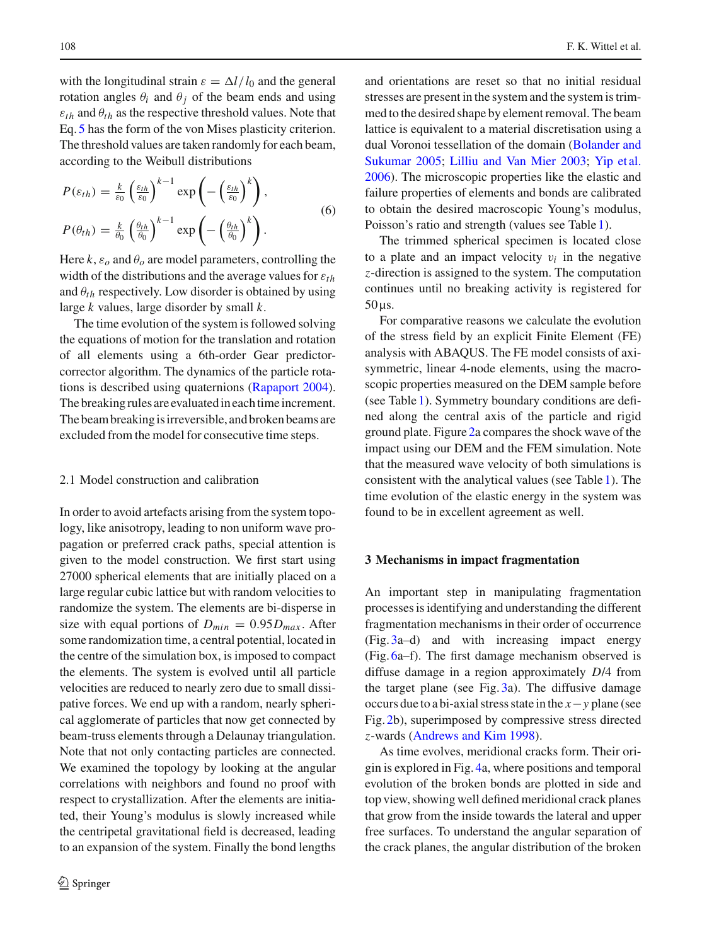with the longitudinal strain  $\varepsilon = \Delta l / l_0$  and the general rotation angles  $\theta_i$  and  $\theta_j$  of the beam ends and using  $\varepsilon_{th}$  and  $\theta_{th}$  as the respective threshold values. Note that Eq. [5](#page-3-1) has the form of the von Mises plasticity criterion. The threshold values are taken randomly for each beam, according to the Weibull distributions

<span id="page-4-0"></span>
$$
P(\varepsilon_{th}) = \frac{k}{\varepsilon_0} \left(\frac{\varepsilon_{th}}{\varepsilon_0}\right)^{k-1} \exp\left(-\left(\frac{\varepsilon_{th}}{\varepsilon_0}\right)^k\right),
$$
  

$$
P(\theta_{th}) = \frac{k}{\theta_0} \left(\frac{\theta_{th}}{\theta_0}\right)^{k-1} \exp\left(-\left(\frac{\theta_{th}}{\theta_0}\right)^k\right).
$$
 (6)

Here  $k$ ,  $\varepsilon$ <sub>o</sub> and  $\theta$ <sub>o</sub> are model parameters, controlling the width of the distributions and the average values for  $\varepsilon_{th}$ and  $\theta_{th}$  respectively. Low disorder is obtained by using large *k* values, large disorder by small *k*.

The time evolution of the system is followed solving the equations of motion for the translation and rotation of all elements using a 6th-order Gear predictorcorrector algorithm. The dynamics of the particle rotations is described using quaternions [\(Rapaport 2004](#page-12-31)). The breaking rules are evaluatedin eachtimeincrement. The beam breaking is irreversible, and broken beams are excluded from the model for consecutive time steps.

#### 2.1 Model construction and calibration

In order to avoid artefacts arising from the system topology, like anisotropy, leading to non uniform wave propagation or preferred crack paths, special attention is given to the model construction. We first start using 27000 spherical elements that are initially placed on a large regular cubic lattice but with random velocities to randomize the system. The elements are bi-disperse in size with equal portions of  $D_{min} = 0.95 D_{max}$ . After some randomization time, a central potential, located in the centre of the simulation box, is imposed to compact the elements. The system is evolved until all particle velocities are reduced to nearly zero due to small dissipative forces. We end up with a random, nearly spherical agglomerate of particles that now get connected by beam-truss elements through a Delaunay triangulation. Note that not only contacting particles are connected. We examined the topology by looking at the angular correlations with neighbors and found no proof with respect to crystallization. After the elements are initiated, their Young's modulus is slowly increased while the centripetal gravitational field is decreased, leading to an expansion of the system. Finally the bond lengths

and orientations are reset so that no initial residual stresses are present in the system and the system is trimmed to the desired shape by element removal. The beam lattice is equivalent to a material discretisation using a dual Vor[onoi](#page-12-32) [tessellation](#page-12-32) [of](#page-12-32) [the](#page-12-32) [domain](#page-12-32) [\(](#page-12-32)Bolander and Sukumar [2005](#page-12-32); [Lilliu and Van Mier 2003](#page-12-33); [Yip et al.](#page-13-1) [2006\)](#page-13-1). The microscopic properties like the elastic and failure properties of elements and bonds are calibrated to obtain the desired macroscopic Young's modulus, Poisson's ratio and strength (values see Table [1\)](#page-5-0).

The trimmed spherical specimen is located close to a plate and an impact velocity  $v_i$  in the negative *z*-direction is assigned to the system. The computation continues until no breaking activity is registered for  $50 \,\mu s$ .

For comparative reasons we calculate the evolution of the stress field by an explicit Finite Element (FE) analysis with ABAQUS. The FE model consists of axisymmetric, linear 4-node elements, using the macroscopic properties measured on the DEM sample before (see Table [1\)](#page-5-0). Symmetry boundary conditions are defined along the central axis of the particle and rigid ground plate. Figure [2a](#page-6-0) compares the shock wave of the impact using our DEM and the FEM simulation. Note that the measured wave velocity of both simulations is consistent with the analytical values (see Table [1\)](#page-5-0). The time evolution of the elastic energy in the system was found to be in excellent agreement as well.

#### **3 Mechanisms in impact fragmentation**

An important step in manipulating fragmentation processes is identifying and understanding the different fragmentation mechanisms in their order of occurrence (Fig. [3a](#page-7-0)–d) and with increasing impact energy (Fig. [6a](#page-9-0)–f). The first damage mechanism observed is diffuse damage in a region approximately *D*/4 from the target plane (see Fig. [3a](#page-7-0)). The diffusive damage occurs due to a bi-axial stress state in the *x*−*y* plane (see Fig. [2b](#page-6-0)), superimposed by compressive stress directed *z*-wards [\(Andrews and Kim 1998](#page-11-2)).

As time evolves, meridional cracks form. Their origin is explored in Fig. [4a](#page-8-0), where positions and temporal evolution of the broken bonds are plotted in side and top view, showing well defined meridional crack planes that grow from the inside towards the lateral and upper free surfaces. To understand the angular separation of the crack planes, the angular distribution of the broken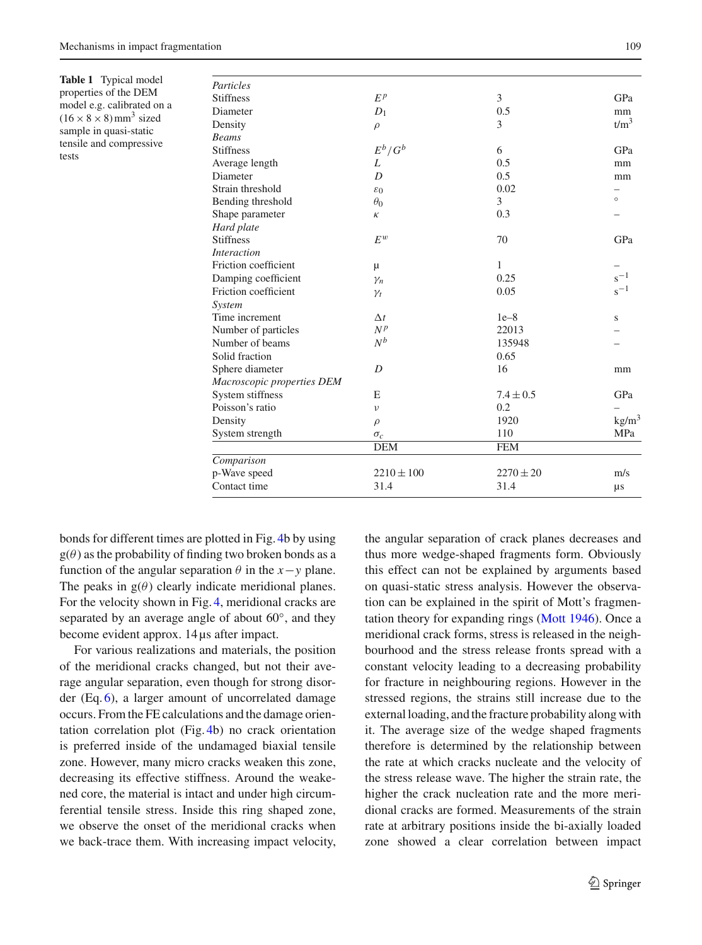<span id="page-5-0"></span>**Table 1** Typical model properties of the DEM model e.g. calibrated on a  $(16 \times 8 \times 8)$  mm<sup>3</sup> sized sample in quasi-static tensile and compressive

tests

| Particles                  |                 |               |                  |
|----------------------------|-----------------|---------------|------------------|
| <b>Stiffness</b>           | $E^p$           | 3             | GPa              |
| Diameter                   | $D_1$           | 0.5           | mm               |
| Density                    | $\rho$          | 3             | t/m <sup>3</sup> |
| <b>Beams</b>               |                 |               |                  |
| <b>Stiffness</b>           | $E^b/G^b$       | 6             | GPa              |
| Average length             | L               | 0.5           | mm               |
| Diameter                   | D               | 0.5           | mm               |
| Strain threshold           | $\varepsilon_0$ | 0.02          |                  |
| Bending threshold          | $\theta_0$      | 3             | $\circ$          |
| Shape parameter            | κ               | 0.3           |                  |
| Hard plate                 |                 |               |                  |
| <b>Stiffness</b>           | $F^w$           | 70            | GPa              |
| <b>Interaction</b>         |                 |               |                  |
| Friction coefficient       | μ               | 1             |                  |
| Damping coefficient        | $\gamma_n$      | 0.25          | $s^{-1}$         |
| Friction coefficient       | $\gamma_t$      | 0.05          | $s^{-1}$         |
| System                     |                 |               |                  |
| Time increment             | $\Delta t$      | $1e-8$        | S                |
| Number of particles        | $N^p$           | 22013         |                  |
| Number of beams            | $N^b$           | 135948        |                  |
| Solid fraction             |                 | 0.65          |                  |
| Sphere diameter            | D               | 16            | mm               |
| Macroscopic properties DEM |                 |               |                  |
| System stiffness           | E               | $7.4 \pm 0.5$ | GPa              |
| Poisson's ratio            | $\nu$           | 0.2           |                  |
| Density                    | $\rho$          | 1920          | $\text{kg/m}^3$  |
| System strength            | $\sigma_c$      | 110           | MPa              |
|                            | <b>DEM</b>      | <b>FEM</b>    |                  |
| Comparison                 |                 |               |                  |
| p-Wave speed               | $2210 \pm 100$  | $2270 \pm 20$ | m/s              |
| Contact time               | 31.4            | 31.4          | μs               |

bonds for different times are plotted in Fig. [4b](#page-8-0) by using  $g(\theta)$  as the probability of finding two broken bonds as a function of the angular separation  $\theta$  in the *x*−*y* plane. The peaks in  $g(\theta)$  clearly indicate meridional planes. For the velocity shown in Fig. [4,](#page-8-0) meridional cracks are separated by an average angle of about 60◦, and they become evident approx. 14 µs after impact.

For various realizations and materials, the position of the meridional cracks changed, but not their average angular separation, even though for strong disorder (Eq. [6\)](#page-4-0), a larger amount of uncorrelated damage occurs. From the FE calculations and the damage orientation correlation plot (Fig. [4b](#page-8-0)) no crack orientation is preferred inside of the undamaged biaxial tensile zone. However, many micro cracks weaken this zone, decreasing its effective stiffness. Around the weakened core, the material is intact and under high circumferential tensile stress. Inside this ring shaped zone, we observe the onset of the meridional cracks when we back-trace them. With increasing impact velocity,

the angular separation of crack planes decreases and thus more wedge-shaped fragments form. Obviously this effect can not be explained by arguments based on quasi-static stress analysis. However the observation can be explained in the spirit of Mott's fragmentation theory for expanding rings [\(Mott 1946\)](#page-12-34). Once a meridional crack forms, stress is released in the neighbourhood and the stress release fronts spread with a constant velocity leading to a decreasing probability for fracture in neighbouring regions. However in the stressed regions, the strains still increase due to the external loading, and the fracture probability along with it. The average size of the wedge shaped fragments therefore is determined by the relationship between the rate at which cracks nucleate and the velocity of the stress release wave. The higher the strain rate, the higher the crack nucleation rate and the more meridional cracks are formed. Measurements of the strain rate at arbitrary positions inside the bi-axially loaded zone showed a clear correlation between impact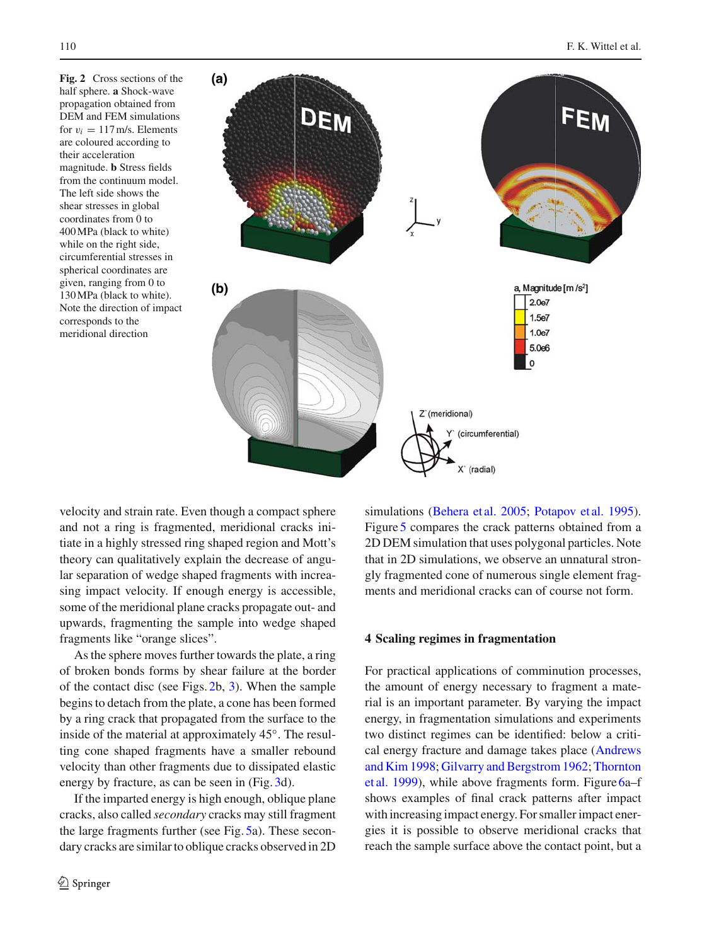<span id="page-6-0"></span>**Fig. 2** Cross sections of the half sphere. **a** Shock-wave propagation obtained from DEM and FEM simulations for  $v_i = 117$  m/s. Elements are coloured according to their acceleration magnitude. **b** Stress fields from the continuum model. The left side shows the shear stresses in global coordinates from 0 to 400MPa (black to white) while on the right side, circumferential stresses in spherical coordinates are given, ranging from 0 to 130MPa (black to white). Note the direction of impact corresponds to the meridional direction



velocity and strain rate. Even though a compact sphere and not a ring is fragmented, meridional cracks initiate in a highly stressed ring shaped region and Mott's theory can qualitatively explain the decrease of angular separation of wedge shaped fragments with increasing impact velocity. If enough energy is accessible, some of the meridional plane cracks propagate out- and upwards, fragmenting the sample into wedge shaped fragments like "orange slices".

As the sphere moves further towards the plate, a ring of broken bonds forms by shear failure at the border of the contact disc (see Figs. [2b](#page-6-0), [3\)](#page-7-0). When the sample begins to detach from the plate, a cone has been formed by a ring crack that propagated from the surface to the inside of the material at approximately 45◦. The resulting cone shaped fragments have a smaller rebound velocity than other fragments due to dissipated elastic energy by fracture, as can be seen in (Fig. [3d](#page-7-0)).

If the imparted energy is high enough, oblique plane cracks, also called *secondary* cracks may still fragment the large fragments further (see Fig. [5a](#page-8-1)). These secondary cracks are similar to oblique cracks observed in 2D simulations [\(Behera et al. 2005](#page-12-12); [Potapov et al. 1995](#page-12-23)). Figure [5](#page-8-1) compares the crack patterns obtained from a 2D DEM simulation that uses polygonal particles. Note that in 2D simulations, we observe an unnatural strongly fragmented cone of numerous single element fragments and meridional cracks can of course not form.

#### **4 Scaling regimes in fragmentation**

For practical applications of comminution processes, the amount of energy necessary to fragment a material is an important parameter. By varying the impact energy, in fragmentation simulations and experiments two distinct regimes can be identified: below a critical ener[gy](#page-11-2) [fracture](#page-11-2) [and](#page-11-2) [damage](#page-11-2) [takes](#page-11-2) [place](#page-11-2) [\(](#page-11-2)Andrews and Kim [1998;](#page-11-2) [Gilvarry and Bergstrom 1962;](#page-12-1) Thornton et al. [1999\)](#page-12-14), while above fragments form. Figure [6a](#page-9-0)–f shows examples of final crack patterns after impact with increasing impact energy. For smaller impact energies it is possible to observe meridional cracks that reach the sample surface above the contact point, but a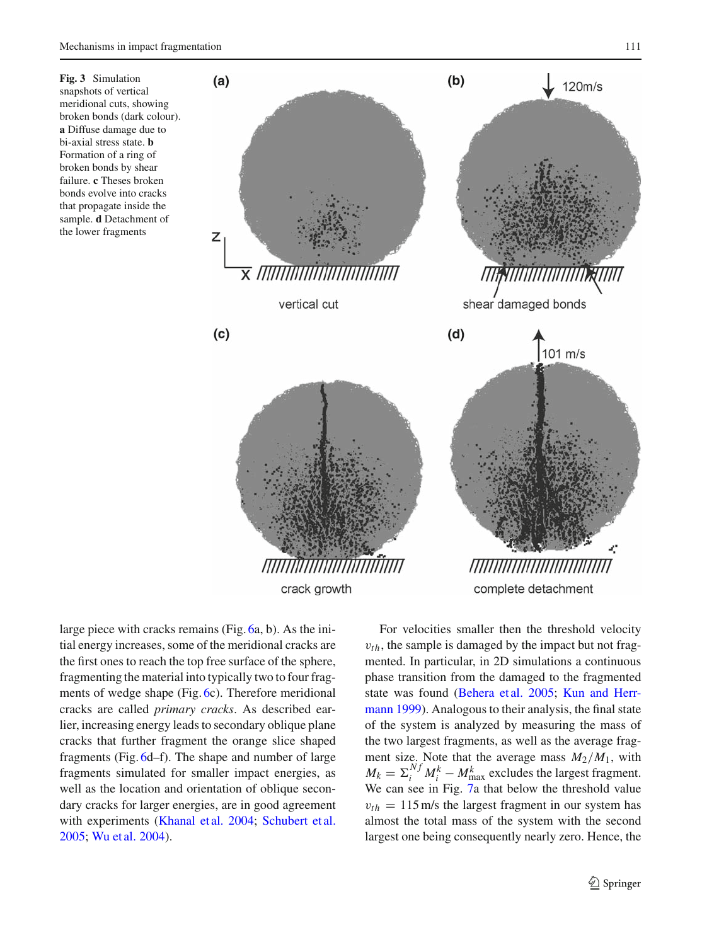<span id="page-7-0"></span>**Fig. 3** Simulation snapshots of vertical meridional cuts, showing broken bonds (dark colour). **a** Diffuse damage due to bi-axial stress state. **b** Formation of a ring of broken bonds by shear failure. **c** Theses broken bonds evolve into cracks that propagate inside the sample. **d** Detachment of the lower fragments



large piece with cracks remains (Fig. [6a](#page-9-0), b). As the initial energy increases, some of the meridional cracks are the first ones to reach the top free surface of the sphere, fragmenting the material into typically two to four fragments of wedge shape (Fig. [6c](#page-9-0)). Therefore meridional cracks are called *primary cracks*. As described earlier, increasing energy leads to secondary oblique plane cracks that further fragment the orange slice shaped fragments (Fig. [6d](#page-9-0)–f). The shape and number of large fragments simulated for smaller impact energies, as well as the location and orientation of oblique secondary cracks for larger energies, are in good agreement with experiments [\(Khanal et al. 2004](#page-12-22); [Schubert et al.](#page-12-18) [2005](#page-12-18); [Wu et al. 2004\)](#page-13-0).

For velocities smaller then the threshold velocity  $v_{th}$ , the sample is damaged by the impact but not fragmented. In particular, in 2D simulations a continuous phase transition from the damaged to the fragmented state [was](#page-12-13) [found](#page-12-13) [\(Behera et al. 2005](#page-12-12)[;](#page-12-13) Kun and Herrmann [1999\)](#page-12-13). Analogous to their analysis, the final state of the system is analyzed by measuring the mass of the two largest fragments, as well as the average fragment size. Note that the average mass  $M_2/M_1$ , with  $M_k = \sum_i^{Nf} M_i^k - M_{\text{max}}^k$  excludes the largest fragment. We can see in Fig. [7a](#page-10-0) that below the threshold value  $v_{th} = 115 \,\text{m/s}$  the largest fragment in our system has almost the total mass of the system with the second largest one being consequently nearly zero. Hence, the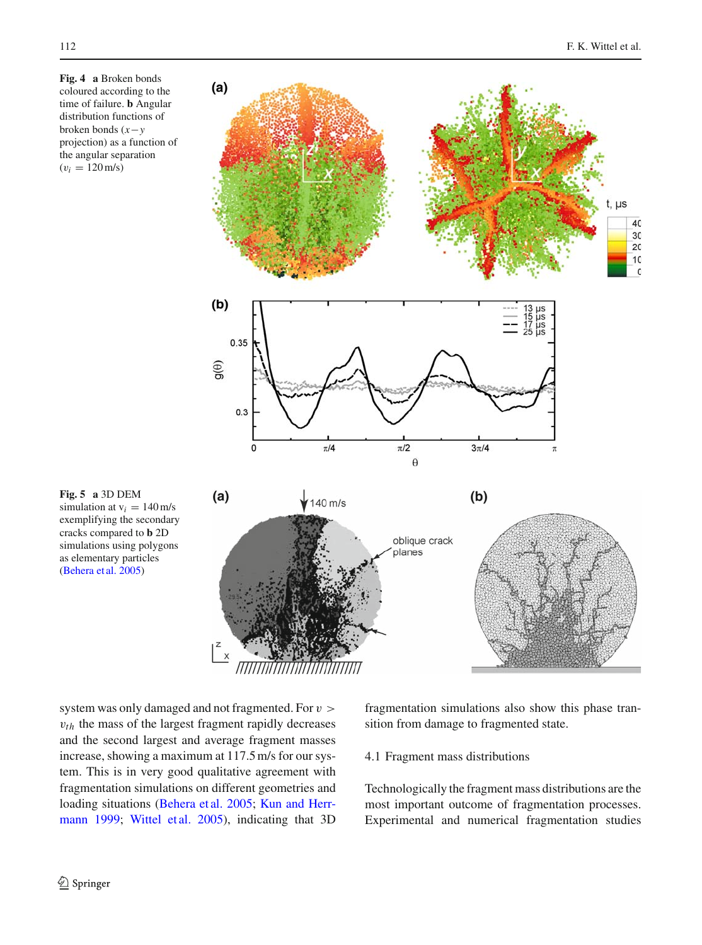<span id="page-8-0"></span>**Fig. 4 a** Broken bonds coloured according to the time of failure. **b** Angular distribution functions of broken bonds (*x*−*y* projection) as a function of the angular separation  $(v_i = 120 \,\text{m/s})$ 



<span id="page-8-1"></span>

system was only damaged and not fragmented. For  $v >$  $v_{th}$  the mass of the largest fragment rapidly decreases and the second largest and average fragment masses increase, showing a maximum at 117.5 m/s for our system. This is in very good qualitative agreement with fragmentation simulations on different geometries and loadi[ng](#page-12-13) [situations](#page-12-13) [\(Behera et al. 2005](#page-12-12)[;](#page-12-13) Kun and Herrmann [1999;](#page-12-13) [Wittel et al. 2005](#page-12-35)), indicating that 3D fragmentation simulations also show this phase transition from damage to fragmented state.

## 4.1 Fragment mass distributions

Technologically the fragment mass distributions are the most important outcome of fragmentation processes. Experimental and numerical fragmentation studies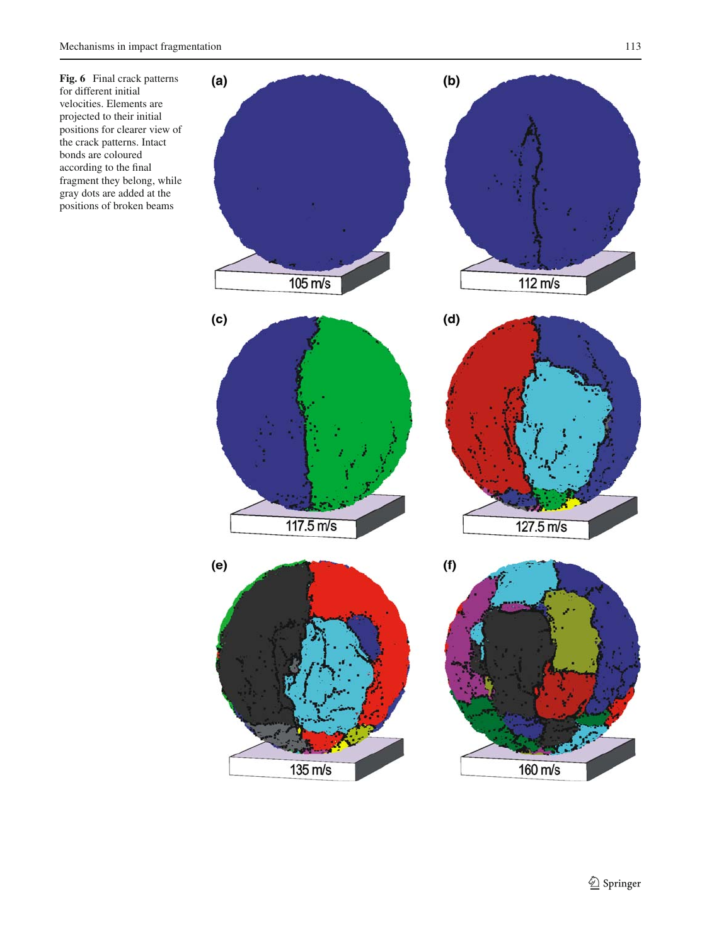<span id="page-9-0"></span>**Fig. 6** Final crack patterns for different initial velocities. Elements are projected to their initial positions for clearer view of the crack patterns. Intact bonds are coloured according to the final fragment they belong, while gray dots are added at the positions of broken beams

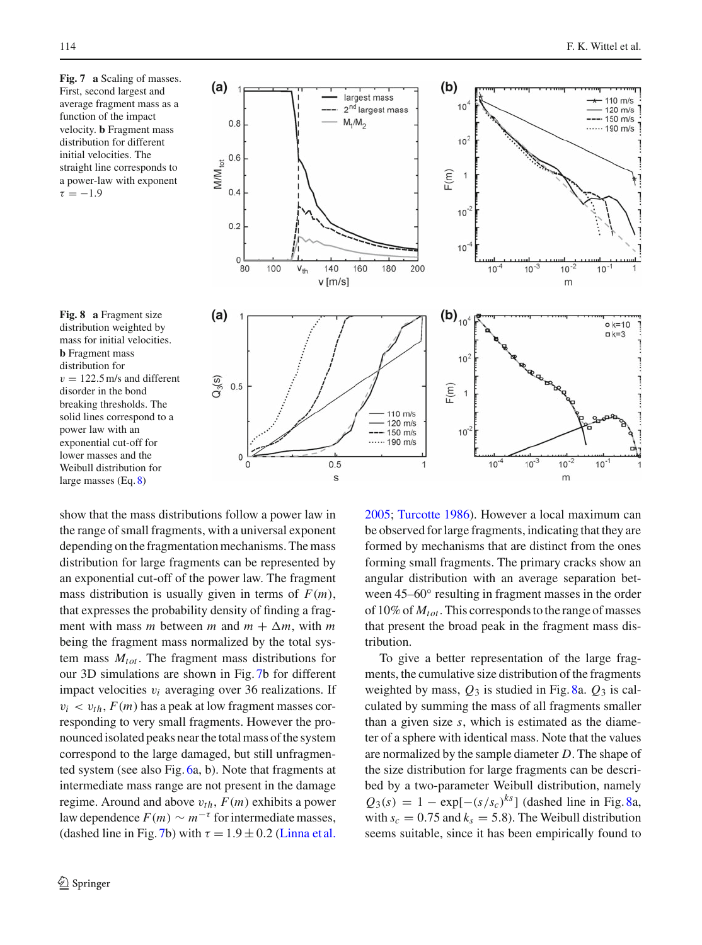<span id="page-10-0"></span>**Fig. 7 a** Scaling of masses. First, second largest and average fragment mass as a function of the impact velocity. **b** Fragment mass distribution for different initial velocities. The straight line corresponds to a power-law with exponent  $\tau = -1.9$ 

<span id="page-10-1"></span>**Fig. 8 a** Fragment size distribution weighted by mass for initial velocities. **b** Fragment mass distribution for  $v = 122.5$  m/s and different disorder in the bond breaking thresholds. The solid lines correspond to a power law with an exponential cut-off for lower masses and the Weibull distribution for large masses (Eq. [8\)](#page-11-4)



show that the mass distributions follow a power law in the range of small fragments, with a universal exponent depending on the fragmentation mechanisms. The mass distribution for large fragments can be represented by an exponential cut-off of the power law. The fragment mass distribution is usually given in terms of  $F(m)$ , that expresses the probability density of finding a fragment with mass *m* between *m* and  $m + \Delta m$ , with *m* being the fragment mass normalized by the total system mass  $M_{tot}$ . The fragment mass distributions for our 3D simulations are shown in Fig. [7b](#page-10-0) for different impact velocities v*i* averaging over 36 realizations. If  $v_i < v_{th}$ ,  $F(m)$  has a peak at low fragment masses corresponding to very small fragments. However the pronounced isolated peaks near the total mass of the system correspond to the large damaged, but still unfragmented system (see also Fig. [6a](#page-9-0), b). Note that fragments at intermediate mass range are not present in the damage regime. Around and above  $v_{th}$ ,  $F(m)$  exhibits a power law dependence  $F(m) \sim m^{-\tau}$  for intermediate masses, (dashed line in Fig. [7b](#page-10-0)) with  $\tau = 1.9 \pm 0.2$  [\(Linna et al.](#page-12-36)

[2005;](#page-12-36) [Turcotte 1986](#page-12-2)). However a local maximum can be observed for large fragments, indicating that they are formed by mechanisms that are distinct from the ones forming small fragments. The primary cracks show an angular distribution with an average separation between 45–60 $\degree$  resulting in fragment masses in the order of 10% of *Mtot* . This corresponds to the range of masses that present the broad peak in the fragment mass distribution.

To give a better representation of the large fragments, the cumulative size distribution of the fragments weighted by mass, *Q*<sup>3</sup> is studied in Fig. [8a](#page-10-1). *Q*<sup>3</sup> is calculated by summing the mass of all fragments smaller than a given size *s*, which is estimated as the diameter of a sphere with identical mass. Note that the values are normalized by the sample diameter *D*. The shape of the size distribution for large fragments can be described by a two-parameter Weibull distribution, namely  $Q_3(s) = 1 - \exp[-(s/s_c)^{ks}]$  (dashed line in Fig. [8a](#page-10-1), with  $s_c = 0.75$  and  $k_s = 5.8$ ). The Weibull distribution seems suitable, since it has been empirically found to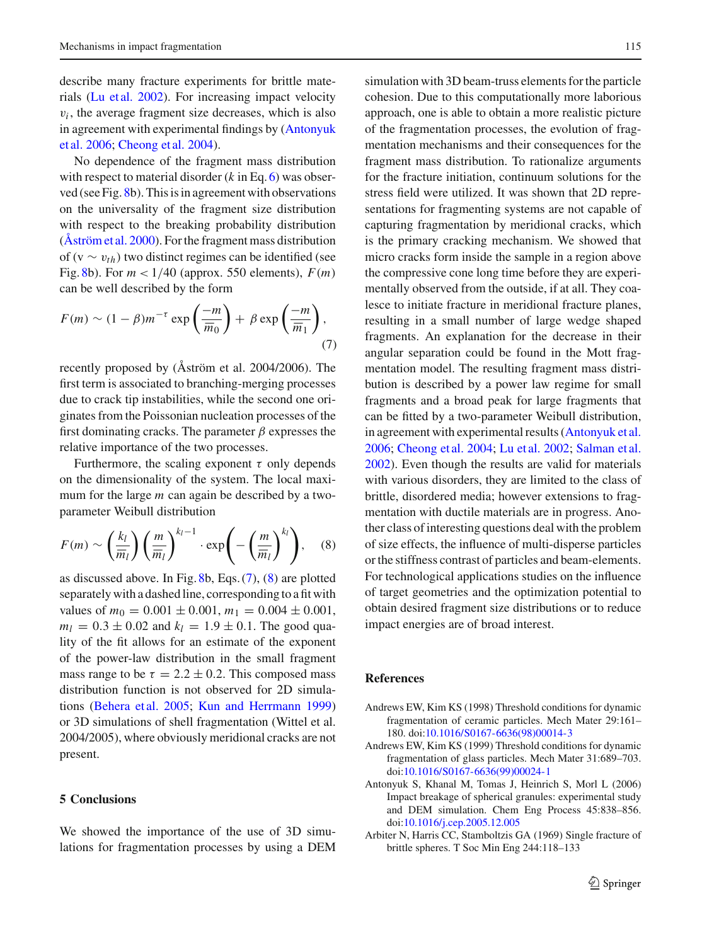describe many fracture experiments for brittle materials [\(Lu et al. 2002](#page-12-9)). For increasing impact velocity  $v_i$ , the average fragment size decreases, which is also in a[greement](#page-11-1) [with](#page-11-1) [experimental](#page-11-1) [findings](#page-11-1) [by](#page-11-1) [\(](#page-11-1)Antonyuk et al. [2006](#page-11-1); [Cheong et al. 2004](#page-12-8)).

No dependence of the fragment mass distribution with respect to material disorder (*k* in Eq. [6\)](#page-4-0) was observed (see Fig. [8b](#page-10-1)). This is in agreement with observations on the universality of the fragment size distribution with respect to the breaking probability distribution [\(Åström et al. 2000\)](#page-12-3). For the fragment mass distribution of (v ∼ v*th*) two distinct regimes can be identified (see Fig. [8b](#page-10-1)). For  $m < 1/40$  (approx. 550 elements),  $F(m)$ can be well described by the form

<span id="page-11-5"></span>
$$
F(m) \sim (1 - \beta)m^{-\tau} \exp\left(\frac{-m}{\overline{m}_0}\right) + \beta \exp\left(\frac{-m}{\overline{m}_1}\right),\tag{7}
$$

recently proposed by (Åström et al. 2004/2006). The first term is associated to branching-merging processes due to crack tip instabilities, while the second one originates from the Poissonian nucleation processes of the first dominating cracks. The parameter  $\beta$  expresses the relative importance of the two processes.

Furthermore, the scaling exponent  $\tau$  only depends on the dimensionality of the system. The local maximum for the large *m* can again be described by a twoparameter Weibull distribution

<span id="page-11-4"></span>
$$
F(m) \sim \left(\frac{k_l}{\overline{m}_l}\right) \left(\frac{m}{\overline{m}_l}\right)^{k_l-1} \cdot \exp\left(-\left(\frac{m}{\overline{m}_l}\right)^{k_l}\right), \quad (8)
$$

as discussed above. In Fig. [8b](#page-10-1), Eqs. [\(7\)](#page-11-5), [\(8\)](#page-11-4) are plotted separately with a dashed line, corresponding to a fit with values of  $m_0 = 0.001 \pm 0.001$ ,  $m_1 = 0.004 \pm 0.001$ ,  $m_l = 0.3 \pm 0.02$  and  $k_l = 1.9 \pm 0.1$ . The good quality of the fit allows for an estimate of the exponent of the power-law distribution in the small fragment mass range to be  $\tau = 2.2 \pm 0.2$ . This composed mass distribution function is not observed for 2D simulations [\(Behera et al. 2005;](#page-12-12) [Kun and Herrmann 1999\)](#page-12-13) or 3D simulations of shell fragmentation (Wittel et al. 2004/2005), where obviously meridional cracks are not present.

#### **5 Conclusions**

We showed the importance of the use of 3D simulations for fragmentation processes by using a DEM simulation with 3D beam-truss elements for the particle cohesion. Due to this computationally more laborious approach, one is able to obtain a more realistic picture of the fragmentation processes, the evolution of fragmentation mechanisms and their consequences for the fragment mass distribution. To rationalize arguments for the fracture initiation, continuum solutions for the stress field were utilized. It was shown that 2D representations for fragmenting systems are not capable of capturing fragmentation by meridional cracks, which is the primary cracking mechanism. We showed that micro cracks form inside the sample in a region above the compressive cone long time before they are experimentally observed from the outside, if at all. They coalesce to initiate fracture in meridional fracture planes, resulting in a small number of large wedge shaped fragments. An explanation for the decrease in their angular separation could be found in the Mott fragmentation model. The resulting fragment mass distribution is described by a power law regime for small fragments and a broad peak for large fragments that can be fitted by a two-parameter Weibull distribution, in agreement with experimental results [\(Antonyuk et al.](#page-11-1) [2006;](#page-11-1) [Cheong et al. 2004](#page-12-8); [Lu et al. 2002;](#page-12-9) [Salman et al.](#page-12-17) [2002\)](#page-12-17). Even though the results are valid for materials with various disorders, they are limited to the class of brittle, disordered media; however extensions to fragmentation with ductile materials are in progress. Another class of interesting questions deal with the problem of size effects, the influence of multi-disperse particles or the stiffness contrast of particles and beam-elements. For technological applications studies on the influence of target geometries and the optimization potential to obtain desired fragment size distributions or to reduce impact energies are of broad interest.

#### **References**

- <span id="page-11-2"></span>Andrews EW, Kim KS (1998) Threshold conditions for dynamic fragmentation of ceramic particles. Mech Mater 29:161– 180. doi[:10.1016/S0167-6636\(98\)00014-3](http://dx.doi.org/10.1016/S0167-6636(98)00014-3)
- <span id="page-11-3"></span>Andrews EW, Kim KS (1999) Threshold conditions for dynamic fragmentation of glass particles. Mech Mater 31:689–703. doi[:10.1016/S0167-6636\(99\)00024-1](http://dx.doi.org/10.1016/S0167-6636(99)00024-1)
- <span id="page-11-1"></span>Antonyuk S, Khanal M, Tomas J, Heinrich S, Morl L (2006) Impact breakage of spherical granules: experimental study and DEM simulation. Chem Eng Process 45:838–856. doi[:10.1016/j.cep.2005.12.005](http://dx.doi.org/10.1016/j.cep.2005.12.005)
- <span id="page-11-0"></span>Arbiter N, Harris CC, Stamboltzis GA (1969) Single fracture of brittle spheres. T Soc Min Eng 244:118–133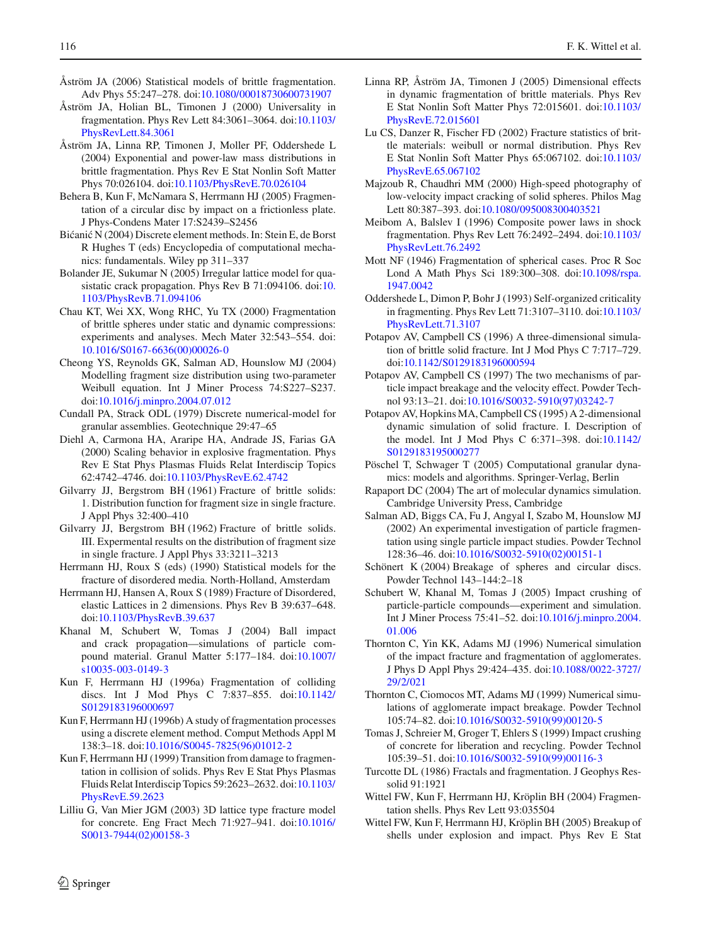- <span id="page-12-20"></span>Åström JA (2006) Statistical models of brittle fragmentation. Adv Phys 55:247–278. doi[:10.1080/00018730600731907](http://dx.doi.org/10.1080/00018730600731907)
- <span id="page-12-3"></span>Åström JA, Holian BL, Timonen J (2000) Universality in fragmentation. Phys Rev Lett 84:3061–3064. doi[:10.1103/](http://dx.doi.org/10.1103/PhysRevLett.84.3061) [PhysRevLett.84.3061](http://dx.doi.org/10.1103/PhysRevLett.84.3061)
- Åström JA, Linna RP, Timonen J, Moller PF, Oddershede L (2004) Exponential and power-law mass distributions in brittle fragmentation. Phys Rev E Stat Nonlin Soft Matter Phys 70:026104. doi[:10.1103/PhysRevE.70.026104](http://dx.doi.org/10.1103/PhysRevE.70.026104)
- <span id="page-12-12"></span>Behera B, Kun F, McNamara S, Herrmann HJ (2005) Fragmentation of a circular disc by impact on a frictionless plate. J Phys-Condens Mater 17:S2439–S2456
- <span id="page-12-28"></span>Bićanić N (2004) Discrete element methods. In: Stein E, de Borst R Hughes T (eds) Encyclopedia of computational mechanics: fundamentals. Wiley pp 311–337
- <span id="page-12-32"></span>Bolander JE, Sukumar N (2005) Irregular lattice model for quasistatic crack propagation. Phys Rev B 71:094106. doi[:10.](http://dx.doi.org/10.1103/PhysRevB.71.094106) [1103/PhysRevB.71.094106](http://dx.doi.org/10.1103/PhysRevB.71.094106)
- <span id="page-12-15"></span>Chau KT, Wei XX, Wong RHC, Yu TX (2000) Fragmentation of brittle spheres under static and dynamic compressions: experiments and analyses. Mech Mater 32:543–554. doi: [10.1016/S0167-6636\(00\)00026-0](http://dx.doi.org/10.1016/S0167-6636(00)00026-0)
- <span id="page-12-8"></span>Cheong YS, Reynolds GK, Salman AD, Hounslow MJ (2004) Modelling fragment size distribution using two-parameter Weibull equation. Int J Miner Process 74:S227–S237. doi[:10.1016/j.minpro.2004.07.012](http://dx.doi.org/10.1016/j.minpro.2004.07.012)
- <span id="page-12-27"></span>Cundall PA, Strack ODL (1979) Discrete numerical-model for granular assemblies. Geotechnique 29:47–65
- <span id="page-12-4"></span>Diehl A, Carmona HA, Araripe HA, Andrade JS, Farias GA (2000) Scaling behavior in explosive fragmentation. Phys Rev E Stat Phys Plasmas Fluids Relat Interdiscip Topics 62:4742–4746. doi[:10.1103/PhysRevE.62.4742](http://dx.doi.org/10.1103/PhysRevE.62.4742)
- <span id="page-12-0"></span>Gilvarry JJ, Bergstrom BH (1961) Fracture of brittle solids: 1. Distribution function for fragment size in single fracture. J Appl Phys 32:400–410
- <span id="page-12-1"></span>Gilvarry JJ, Bergstrom BH (1962) Fracture of brittle solids. III. Expermental results on the distribution of fragment size in single fracture. J Appl Phys 33:3211–3213
- <span id="page-12-21"></span>Herrmann HJ, Roux S (eds) (1990) Statistical models for the fracture of disordered media. North-Holland, Amsterdam
- <span id="page-12-30"></span>Herrmann HJ, Hansen A, Roux S (1989) Fracture of Disordered, elastic Lattices in 2 dimensions. Phys Rev B 39:637–648. doi[:10.1103/PhysRevB.39.637](http://dx.doi.org/10.1103/PhysRevB.39.637)
- <span id="page-12-22"></span>Khanal M, Schubert W, Tomas J (2004) Ball impact and crack propagation—simulations of particle compound material. Granul Matter 5:177–184. doi[:10.1007/](http://dx.doi.org/10.1007/s10035-003-0149-3) [s10035-003-0149-3](http://dx.doi.org/10.1007/s10035-003-0149-3)
- <span id="page-12-5"></span>Kun F, Herrmann HJ (1996a) Fragmentation of colliding discs. Int J Mod Phys C 7:837–855. doi[:10.1142/](http://dx.doi.org/10.1142/S0129183196000697) [S0129183196000697](http://dx.doi.org/10.1142/S0129183196000697)
- <span id="page-12-6"></span>Kun F, Herrmann HJ (1996b) A study of fragmentation processes using a discrete element method. Comput Methods Appl M 138:3–18. doi[:10.1016/S0045-7825\(96\)01012-2](http://dx.doi.org/10.1016/S0045-7825(96)01012-2)
- <span id="page-12-13"></span>Kun F, Herrmann HJ (1999) Transition from damage to fragmentation in collision of solids. Phys Rev E Stat Phys Plasmas Fluids Relat Interdiscip Topics 59:2623–2632. doi[:10.1103/](http://dx.doi.org/10.1103/PhysRevE.59.2623) [PhysRevE.59.2623](http://dx.doi.org/10.1103/PhysRevE.59.2623)
- <span id="page-12-33"></span>Lilliu G, Van Mier JGM (2003) 3D lattice type fracture model for concrete. Eng Fract Mech 71:927–941. doi[:10.1016/](http://dx.doi.org/10.1016/S0013-7944(02)00158-3) [S0013-7944\(02\)00158-3](http://dx.doi.org/10.1016/S0013-7944(02)00158-3)
- <span id="page-12-36"></span>Linna RP, Åström JA, Timonen J (2005) Dimensional effects in dynamic fragmentation of brittle materials. Phys Rev E Stat Nonlin Soft Matter Phys 72:015601. doi[:10.1103/](http://dx.doi.org/10.1103/PhysRevE.72.015601) [PhysRevE.72.015601](http://dx.doi.org/10.1103/PhysRevE.72.015601)
- <span id="page-12-9"></span>Lu CS, Danzer R, Fischer FD (2002) Fracture statistics of brittle materials: weibull or normal distribution. Phys Rev E Stat Nonlin Soft Matter Phys 65:067102. doi[:10.1103/](http://dx.doi.org/10.1103/PhysRevE.65.067102) [PhysRevE.65.067102](http://dx.doi.org/10.1103/PhysRevE.65.067102)
- <span id="page-12-16"></span>Majzoub R, Chaudhri MM (2000) High-speed photography of low-velocity impact cracking of solid spheres. Philos Mag Lett 80:387–393. doi[:10.1080/095008300403521](http://dx.doi.org/10.1080/095008300403521)
- <span id="page-12-10"></span>Meibom A, Balslev I (1996) Composite power laws in shock fragmentation. Phys Rev Lett 76:2492–2494. doi[:10.1103/](http://dx.doi.org/10.1103/PhysRevLett.76.2492) [PhysRevLett.76.2492](http://dx.doi.org/10.1103/PhysRevLett.76.2492)
- <span id="page-12-34"></span>Mott NF (1946) Fragmentation of spherical cases. Proc R Soc Lond A Math Phys Sci 189:300–308. doi[:10.1098/rspa.](http://dx.doi.org/10.1098/rspa.1947.0042) [1947.0042](http://dx.doi.org/10.1098/rspa.1947.0042)
- <span id="page-12-11"></span>Oddershede L, Dimon P, Bohr J (1993) Self-organized criticality in fragmenting. Phys Rev Lett 71:3107–3110. doi[:10.1103/](http://dx.doi.org/10.1103/PhysRevLett.71.3107) [PhysRevLett.71.3107](http://dx.doi.org/10.1103/PhysRevLett.71.3107)
- <span id="page-12-7"></span>Potapov AV, Campbell CS (1996) A three-dimensional simulation of brittle solid fracture. Int J Mod Phys C 7:717–729. doi[:10.1142/S0129183196000594](http://dx.doi.org/10.1142/S0129183196000594)
- <span id="page-12-24"></span>Potapov AV, Campbell CS (1997) The two mechanisms of particle impact breakage and the velocity effect. Powder Technol 93:13–21. doi[:10.1016/S0032-5910\(97\)03242-7](http://dx.doi.org/10.1016/S0032-5910(97)03242-7)
- <span id="page-12-23"></span>Potapov AV, Hopkins MA, Campbell CS (1995) A 2-dimensional dynamic simulation of solid fracture. I. Description of the model. Int J Mod Phys C 6:371–398. doi[:10.1142/](http://dx.doi.org/10.1142/S0129183195000277) [S0129183195000277](http://dx.doi.org/10.1142/S0129183195000277)
- <span id="page-12-29"></span>Pöschel T, Schwager T (2005) Computational granular dynamics: models and algorithms. Springer-Verlag, Berlin
- <span id="page-12-31"></span>Rapaport DC (2004) The art of molecular dynamics simulation. Cambridge University Press, Cambridge
- <span id="page-12-17"></span>Salman AD, Biggs CA, Fu J, Angyal I, Szabo M, Hounslow MJ (2002) An experimental investigation of particle fragmentation using single particle impact studies. Powder Technol 128:36–46. doi[:10.1016/S0032-5910\(02\)00151-1](http://dx.doi.org/10.1016/S0032-5910(02)00151-1)
- <span id="page-12-26"></span>Schönert K (2004) Breakage of spheres and circular discs. Powder Technol 143–144:2–18
- <span id="page-12-18"></span>Schubert W, Khanal M, Tomas J (2005) Impact crushing of particle-particle compounds—experiment and simulation. Int J Miner Process 75:41–52. doi[:10.1016/j.minpro.2004.](http://dx.doi.org/10.1016/j.minpro.2004.01.006) [01.006](http://dx.doi.org/10.1016/j.minpro.2004.01.006)
- <span id="page-12-25"></span>Thornton C, Yin KK, Adams MJ (1996) Numerical simulation of the impact fracture and fragmentation of agglomerates. J Phys D Appl Phys 29:424–435. doi[:10.1088/0022-3727/](http://dx.doi.org/10.1088/0022-3727/29/2/021) [29/2/021](http://dx.doi.org/10.1088/0022-3727/29/2/021)
- <span id="page-12-14"></span>Thornton C, Ciomocos MT, Adams MJ (1999) Numerical simulations of agglomerate impact breakage. Powder Technol 105:74–82. doi[:10.1016/S0032-5910\(99\)00120-5](http://dx.doi.org/10.1016/S0032-5910(99)00120-5)
- <span id="page-12-19"></span>Tomas J, Schreier M, Groger T, Ehlers S (1999) Impact crushing of concrete for liberation and recycling. Powder Technol 105:39–51. doi[:10.1016/S0032-5910\(99\)00116-3](http://dx.doi.org/10.1016/S0032-5910(99)00116-3)
- <span id="page-12-2"></span>Turcotte DL (1986) Fractals and fragmentation. J Geophys Ressolid 91:1921
- Wittel FW, Kun F, Herrmann HJ, Kröplin BH (2004) Fragmentation shells. Phys Rev Lett 93:035504
- <span id="page-12-35"></span>Wittel FW, Kun F, Herrmann HJ, Kröplin BH (2005) Breakup of shells under explosion and impact. Phys Rev E Stat